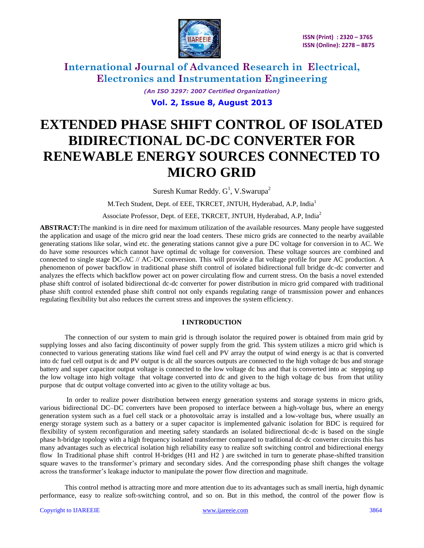

> *(An ISO 3297: 2007 Certified Organization)* **Vol. 2, Issue 8, August 2013**

# **EXTENDED PHASE SHIFT CONTROL OF ISOLATED BIDIRECTIONAL DC-DC CONVERTER FOR RENEWABLE ENERGY SOURCES CONNECTED TO MICRO GRID**

Suresh Kumar Reddy.  $G^1$ , V.Swarupa<sup>2</sup>

M.Tech Student, Dept. of EEE, TKRCET, JNTUH, Hyderabad, A.P, India<sup>1</sup>

Associate Professor, Dept. of EEE, TKRCET, JNTUH, Hyderabad, A.P, India<sup>2</sup>

**ABSTRACT:**The mankind is in dire need for maximum utilization of the available resources. Many people have suggested the application and usage of the micro grid near the load centers. These micro grids are connected to the nearby available generating stations like solar, wind etc. the generating stations cannot give a pure DC voltage for conversion in to AC. We do have some resources which cannot have optimal dc voltage for conversion. These voltage sources are combined and connected to single stage DC-AC // AC-DC conversion. This will provide a flat voltage profile for pure AC production. A phenomenon of power backflow in traditional phase shift control of isolated bidirectional full bridge dc-dc converter and analyzes the effects which backflow power act on power circulating flow and current stress. On the basis a novel extended phase shift control of isolated bidirectional dc-dc converter for power distribution in micro grid compared with traditional phase shift control extended phase shift control not only expands regulating range of transmission power and enhances regulating flexibility but also reduces the current stress and improves the system efficiency.

### **I INTRODUCTION**

The connection of our system to main grid is through isolator the required power is obtained from main grid by supplying losses and also facing discontinuity of power supply from the grid. This system utilizes a micro grid which is connected to various generating stations like wind fuel cell and PV array the output of wind energy is ac that is converted into dc fuel cell output is dc and PV output is dc all the sources outputs are connected to the high voltage dc bus and storage battery and super capacitor output voltage is connected to the low voltage dc bus and that is converted into ac stepping up the low voltage into high voltage that voltage converted into dc and given to the high voltage dc bus from that utility purpose that dc output voltage converted into ac given to the utility voltage ac bus.

In order to realize power distribution between energy generation systems and storage systems in micro grids, various bidirectional DC–DC converters have been proposed to interface between a high-voltage bus, where an energy generation system such as a fuel cell stack or a photovoltaic array is installed and a low-voltage bus, where usually an energy storage system such as a battery or a super capacitor is implemented galvanic isolation for BDC is required for flexibility of system reconfiguration and meeting safety standards an isolated bidirectional dc-dc is based on the single phase h-bridge topology with a high frequency isolated transformer compared to traditional dc-dc converter circuits this has many advantages such as electrical isolation high reliability easy to realize soft switching control and bidirectional energy flow In Traditional phase shift control H-bridges (H1 and H2 ) are switched in turn to generate phase-shifted transition square waves to the transformer's primary and secondary sides. And the corresponding phase shift changes the voltage across the transformer's leakage inductor to manipulate the power flow direction and magnitude.

This control method is attracting more and more attention due to its advantages such as small inertia, high dynamic performance, easy to realize soft-switching control, and so on. But in this method, the control of the power flow is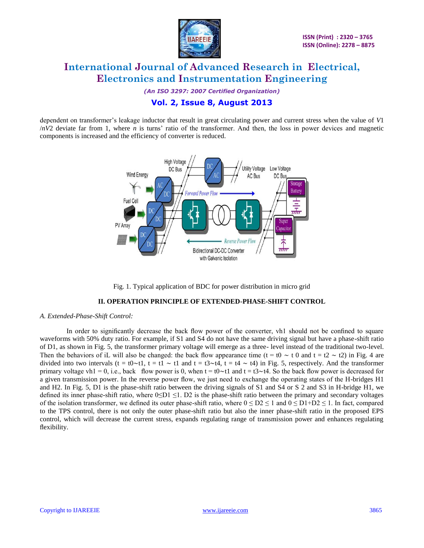

*(An ISO 3297: 2007 Certified Organization)*

## **Vol. 2, Issue 8, August 2013**

dependent on transformer's leakage inductor that result in great circulating power and current stress when the value of *V*1 /*nV*2 deviate far from 1, where *n* is turns' ratio of the transformer. And then, the loss in power devices and magnetic components is increased and the efficiency of converter is reduced.



Fig. 1. Typical application of BDC for power distribution in micro grid

### **II. OPERATION PRINCIPLE OF EXTENDED-PHASE-SHIFT CONTROL**

#### *A. Extended-Phase-Shift Control:*

In order to significantly decrease the back flow power of the converter, vh1 should not be confined to square waveforms with 50% duty ratio. For example, if S1 and S4 do not have the same driving signal but have a phase-shift ratio of D1, as shown in Fig. 5, the transformer primary voltage will emerge as a three- level instead of the traditional two-level. Then the behaviors of iL will also be changed: the back flow appearance time (t = t0  $\sim$  t 0 and t = t2  $\sim$  t2) in Fig. 4 are divided into two intervals (t = t0∼t1, t = t1 ∼ t1 and t = t3∼t4, t = t4 ∼ t4) in Fig. 5, respectively. And the transformer primary voltage vh1 = 0, i.e., back flow power is 0, when t = t0∼t1 and t = t3∼t4. So the back flow power is decreased for a given transmission power. In the reverse power flow, we just need to exchange the operating states of the H-bridges H1 and H2. In Fig. 5, D1 is the phase-shift ratio between the driving signals of S1 and S4 or S 2 and S3 in H-bridge H1, we defined its inner phase-shift ratio, where  $0 \le D1 \le 1$ . D2 is the phase-shift ratio between the primary and secondary voltages of the isolation transformer, we defined its outer phase-shift ratio, where  $0 \leq D2 \leq 1$  and  $0 \leq D1+D2 \leq 1$ . In fact, compared to the TPS control, there is not only the outer phase-shift ratio but also the inner phase-shift ratio in the proposed EPS control, which will decrease the current stress, expands regulating range of transmission power and enhances regulating flexibility.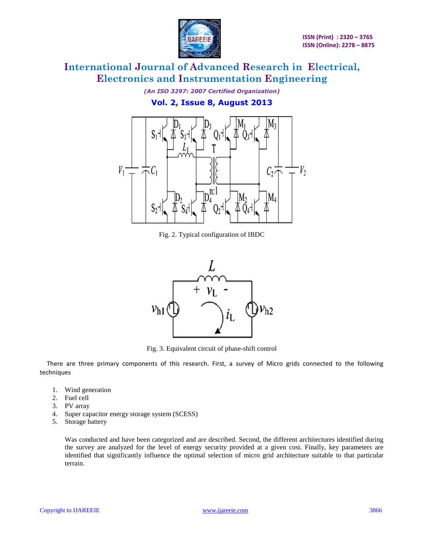

*(An ISO 3297: 2007 Certified Organization)* **Vol. 2, Issue 8, August 2013**



Fig. 2. Typical configuration of IBDC



Fig. 3. Equivalent circuit of phase-shift control

There are three primary components of this research. First, a survey of Micro grids connected to the following techniques

- 1. Wind generation
- 2. Fuel cell
- 3. PV array
- 4. Super capacitor energy storage system (SCESS)
- 5. Storage battery

Was conducted and have been categorized and are described. Second, the different architectures identified during the survey are analyzed for the level of energy security provided at a given cost. Finally, key parameters are identified that significantly influence the optimal selection of micro grid architecture suitable to that particular terrain.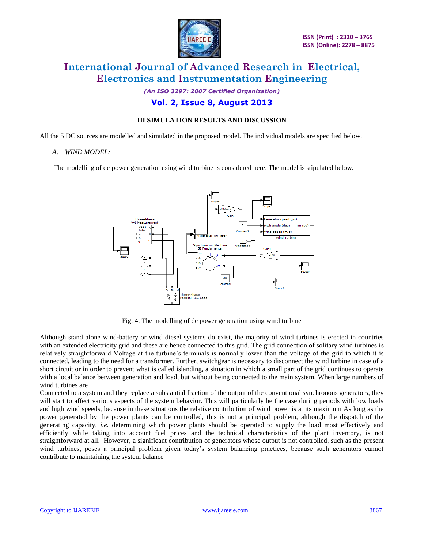

*(An ISO 3297: 2007 Certified Organization)*

### **Vol. 2, Issue 8, August 2013**

### **III SIMULATION RESULTS AND DISCUSSION**

All the 5 DC sources are modelled and simulated in the proposed model. The individual models are specified below.

#### *A. WIND MODEL:*

The modelling of dc power generation using wind turbine is considered here. The model is stipulated below.



Fig. 4. The modelling of dc power generation using wind turbine

Although stand alone wind‐battery or wind diesel systems do exist, the majority of wind turbines is erected in countries with an extended electricity grid and these are hence connected to this grid. The grid connection of solitary wind turbines is relatively straightforward Voltage at the turbine's terminals is normally lower than the voltage of the grid to which it is connected, leading to the need for a transformer. Further, switchgear is necessary to disconnect the wind turbine in case of a short circuit or in order to prevent what is called islanding, a situation in which a small part of the grid continues to operate with a local balance between generation and load, but without being connected to the main system. When large numbers of wind turbines are

Connected to a system and they replace a substantial fraction of the output of the conventional synchronous generators, they will start to affect various aspects of the system behavior. This will particularly be the case during periods with low loads and high wind speeds, because in these situations the relative contribution of wind power is at its maximum As long as the power generated by the power plants can be controlled, this is not a principal problem, although the dispatch of the generating capacity, *i.e.* determining which power plants should be operated to supply the load most effectively and efficiently while taking into account fuel prices and the technical characteristics of the plant inventory, is not straightforward at all. However, a significant contribution of generators whose output is not controlled, such as the present wind turbines, poses a principal problem given today's system balancing practices, because such generators cannot contribute to maintaining the system balance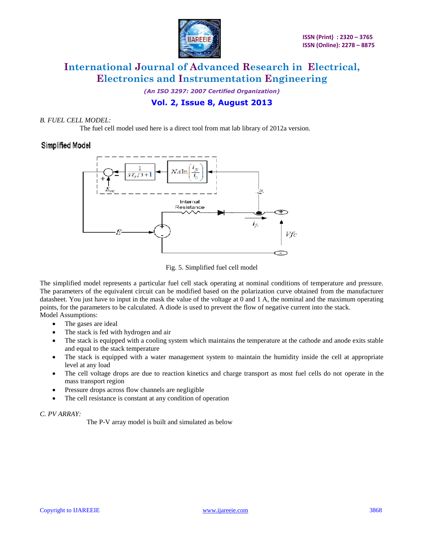

*(An ISO 3297: 2007 Certified Organization)*

## **Vol. 2, Issue 8, August 2013**

### *B. FUEL CELL MODEL:*

The fuel cell model used here is a direct tool from mat lab library of 2012a version.

## Simplified Model



Fig. 5. Simplified fuel cell model

The simplified model represents a particular fuel cell stack operating at nominal conditions of temperature and pressure. The parameters of the equivalent circuit can be modified based on the polarization curve obtained from the manufacturer datasheet. You just have to input in the mask the value of the voltage at 0 and 1 A, the nominal and the maximum operating points, for the parameters to be calculated. A diode is used to prevent the flow of negative current into the stack. Model Assumptions:

- The gases are ideal
- The stack is fed with hydrogen and air
- The stack is equipped with a cooling system which maintains the temperature at the cathode and anode exits stable and equal to the stack temperature
- The stack is equipped with a water management system to maintain the humidity inside the cell at appropriate level at any load
- The cell voltage drops are due to reaction kinetics and charge transport as most fuel cells do not operate in the mass transport region
- Pressure drops across flow channels are negligible
- The cell resistance is constant at any condition of operation

### *C. PV ARRAY:*

The P-V array model is built and simulated as below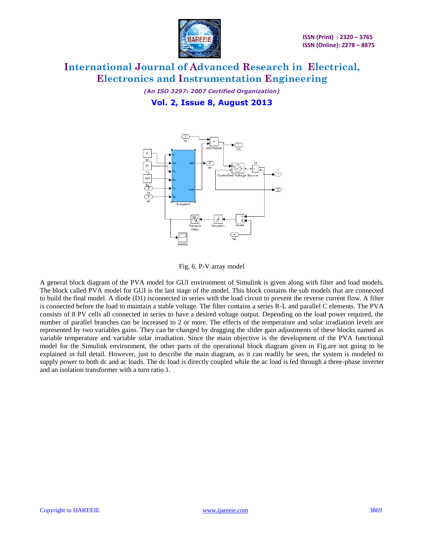

*(An ISO 3297: 2007 Certified Organization)* **Vol. 2, Issue 8, August 2013**





A general block diagram of the PVA model for GUI environment of Simulink is given along with filter and load models. The block called PVA model for GUI is the last stage of the model. This block contains the sub models that are connected to build the final model. A diode (D1) isconnected in series with the load circuit to prevent the reverse current flow. A filter is connected before the load to maintain a stable voltage. The filter contains a series R-L and parallel C elements. The PVA consists of 8 PV cells all connected in series to have a desired voltage output. Depending on the load power required, the number of parallel branches can be increased to 2 or more. The effects of the temperature and solar irradiation levels are represented by two variables gains. They can be changed by dragging the slider gain adjustments of these blocks named as variable temperature and variable solar irradiation. Since the main objective is the development of the PVA functional model for the Simulink environment, the other parts of the operational block diagram given in Fig.are not going to be explained in full detail. However, just to describe the main diagram, as it can readily be seen, the system is modeled to supply power to both dc and ac loads. The dc load is directly coupled while the ac load is fed through a three-phase inverter and an isolation transformer with a turn ratio 1.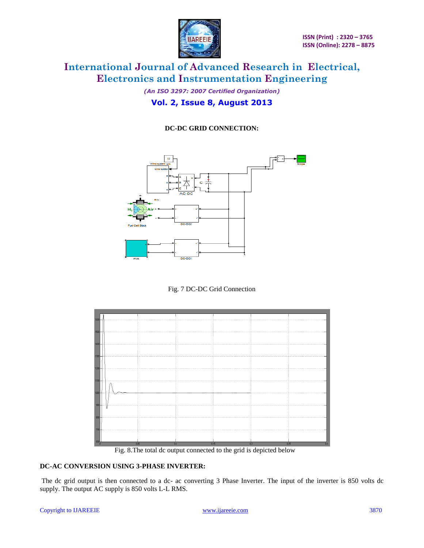

*(An ISO 3297: 2007 Certified Organization)* **Vol. 2, Issue 8, August 2013**

### **DC-DC GRID CONNECTION:**



Fig. 7 DC-DC Grid Connection



Fig. 8.The total dc output connected to the grid is depicted below

### **DC-AC CONVERSION USING 3-PHASE INVERTER:**

The dc grid output is then connected to a dc- ac converting 3 Phase Inverter. The input of the inverter is 850 volts dc supply. The output AC supply is 850 volts L-L RMS.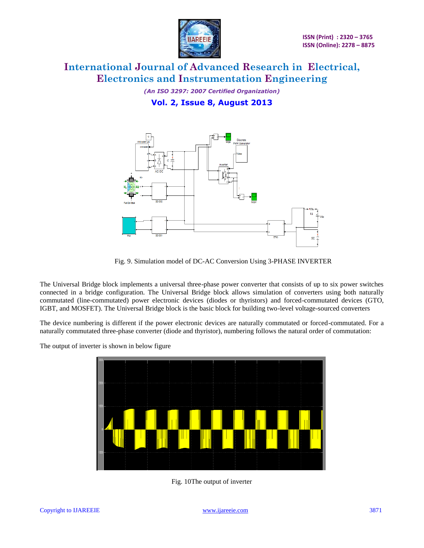

*(An ISO 3297: 2007 Certified Organization)* **Vol. 2, Issue 8, August 2013**



Fig. 9. Simulation model of DC-AC Conversion Using 3-PHASE INVERTER

The Universal Bridge block implements a universal three-phase power converter that consists of up to six power switches connected in a bridge configuration. The Universal Bridge block allows simulation of converters using both naturally commutated (line-commutated) power electronic devices (diodes or thyristors) and forced-commutated devices (GTO, IGBT, and MOSFET). The Universal Bridge block is the basic block for building two-level voltage-sourced converters

The device numbering is different if the power electronic devices are naturally commutated or forced-commutated. For a naturally commutated three-phase converter (diode and thyristor), numbering follows the natural order of commutation:

The output of inverter is shown in below figure



Fig. 10The output of inverter